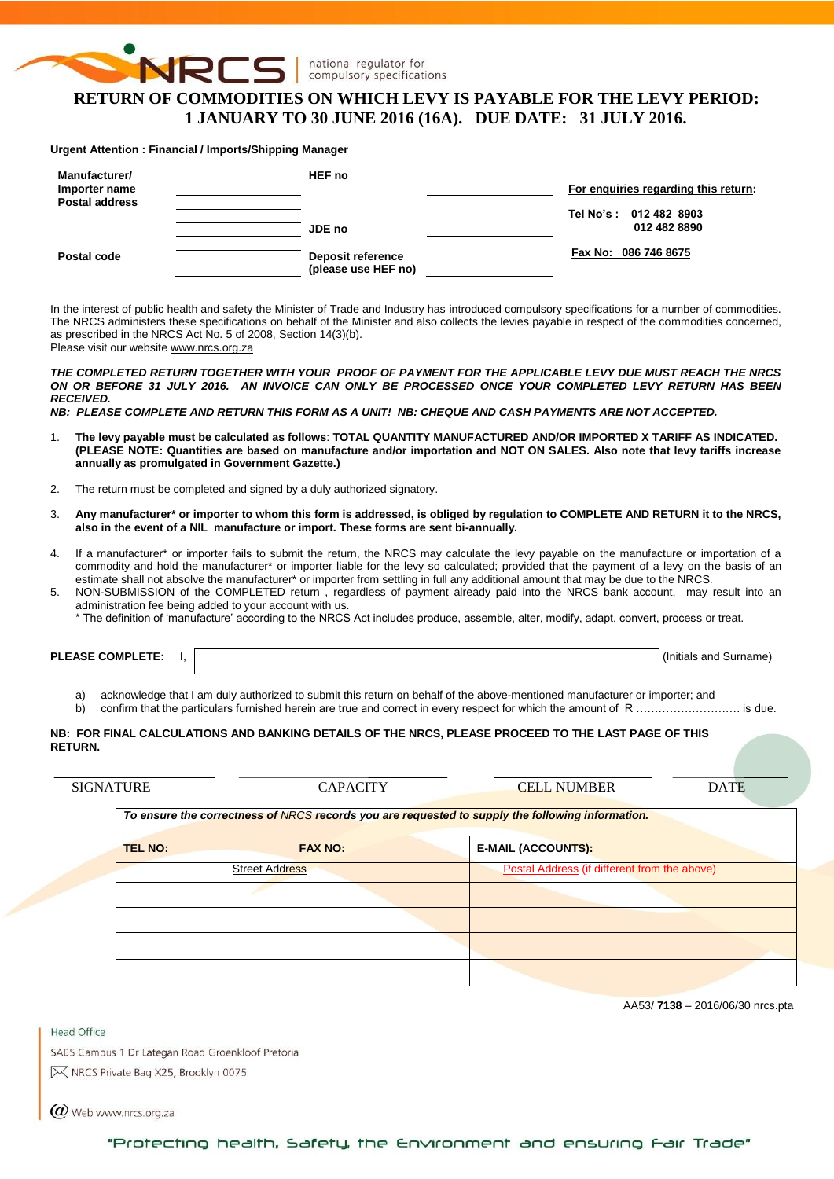

national regulator for compulsory specifications

# **RETURN OF COMMODITIES ON WHICH LEVY IS PAYABLE FOR THE LEVY PERIOD: 1 JANUARY TO 30 JUNE 2016 (16A). DUE DATE: 31 JULY 2016.**

#### **Urgent Attention : Financial / Imports/Shipping Manager**

| Manufacturer/<br>Importer name<br><b>Postal address</b> | HEF no                                          | For enguiries regarding this return:   |
|---------------------------------------------------------|-------------------------------------------------|----------------------------------------|
|                                                         | JDE no                                          | Tel No's: 012 482 8903<br>012 482 8890 |
| Postal code                                             | <b>Deposit reference</b><br>(please use HEF no) | Fax No: 086 746 8675                   |

In the interest of public health and safety the Minister of Trade and Industry has introduced compulsory specifications for a number of commodities. The NRCS administers these specifications on behalf of the Minister and also collects the levies payable in respect of the commodities concerned, as prescribed in the NRCS Act No. 5 of 2008, Section 14(3)(b). Please visit our website [www.nrcs.org.za](http://www.nrcs.org.za/)

*THE COMPLETED RETURN TOGETHER WITH YOUR PROOF OF PAYMENT FOR THE APPLICABLE LEVY DUE MUST REACH THE NRCS ON OR BEFORE 31 JULY 2016. AN INVOICE CAN ONLY BE PROCESSED ONCE YOUR COMPLETED LEVY RETURN HAS BEEN RECEIVED.* 

*NB: PLEASE COMPLETE AND RETURN THIS FORM AS A UNIT! NB: CHEQUE AND CASH PAYMENTS ARE NOT ACCEPTED.*

- 1. **The levy payable must be calculated as follows**: **TOTAL QUANTITY MANUFACTURED AND/OR IMPORTED X TARIFF AS INDICATED. (PLEASE NOTE: Quantities are based on manufacture and/or importation and NOT ON SALES. Also note that levy tariffs increase annually as promulgated in Government Gazette.)**
- 2. The return must be completed and signed by a duly authorized signatory.
- 3. **Any manufacturer\* or importer to whom this form is addressed, is obliged by regulation to COMPLETE AND RETURN it to the NRCS, also in the event of a NIL manufacture or import. These forms are sent bi-annually.**
- 4. If a manufacturer\* or importer fails to submit the return, the NRCS may calculate the levy payable on the manufacture or importation of a commodity and hold the manufacturer\* or importer liable for the levy so calculated; provided that the payment of a levy on the basis of an estimate shall not absolve the manufacturer\* or importer from settling in full any additional amount that may be due to the NRCS.
- 5. NON-SUBMISSION of the COMPLETED return , regardless of payment already paid into the NRCS bank account, may result into an administration fee being added to your account with us.
	- \* The definition of 'manufacture' according to the NRCS Act includes produce, assemble, alter, modify, adapt, convert, process or treat.

**PLEASE COMPLETE:** I,  $\vert$ 

a) acknowledge that I am duly authorized to submit this return on behalf of the above-mentioned manufacturer or importer; and<br>
b) confirm that the particulars furnished herein are true and correct in every respect for whic

confirm that the particulars furnished herein are true and correct in every respect for which the amount of R …………………………… is due.

#### **NB: FOR FINAL CALCULATIONS AND BANKING DETAILS OF THE NRCS, PLEASE PROCEED TO THE LAST PAGE OF THIS RETURN.**

| <b>SIGNATURE</b> | <b>CAPACITY</b>       | <b>CELL NUMBER</b>                                                                               | <b>DATE</b> |
|------------------|-----------------------|--------------------------------------------------------------------------------------------------|-------------|
|                  |                       | To ensure the correctness of NRCS records you are requested to supply the following information. |             |
| <b>TEL NO:</b>   | <b>FAX NO:</b>        | <b>E-MAIL (ACCOUNTS):</b>                                                                        |             |
|                  | <b>Street Address</b> | Postal Address (if different from the above)                                                     |             |
|                  |                       |                                                                                                  |             |
|                  |                       |                                                                                                  |             |
|                  |                       |                                                                                                  |             |
|                  |                       |                                                                                                  |             |

AA53/ **7138** – 2016/06/30 nrcs.pta

**Head Office** 

SABS Campus 1 Dr Lategan Road Groenkloof Pretoria

M NRCS Private Bag X25, Brooklyn 0075

 $(\alpha)$  Web www.nrcs.org.za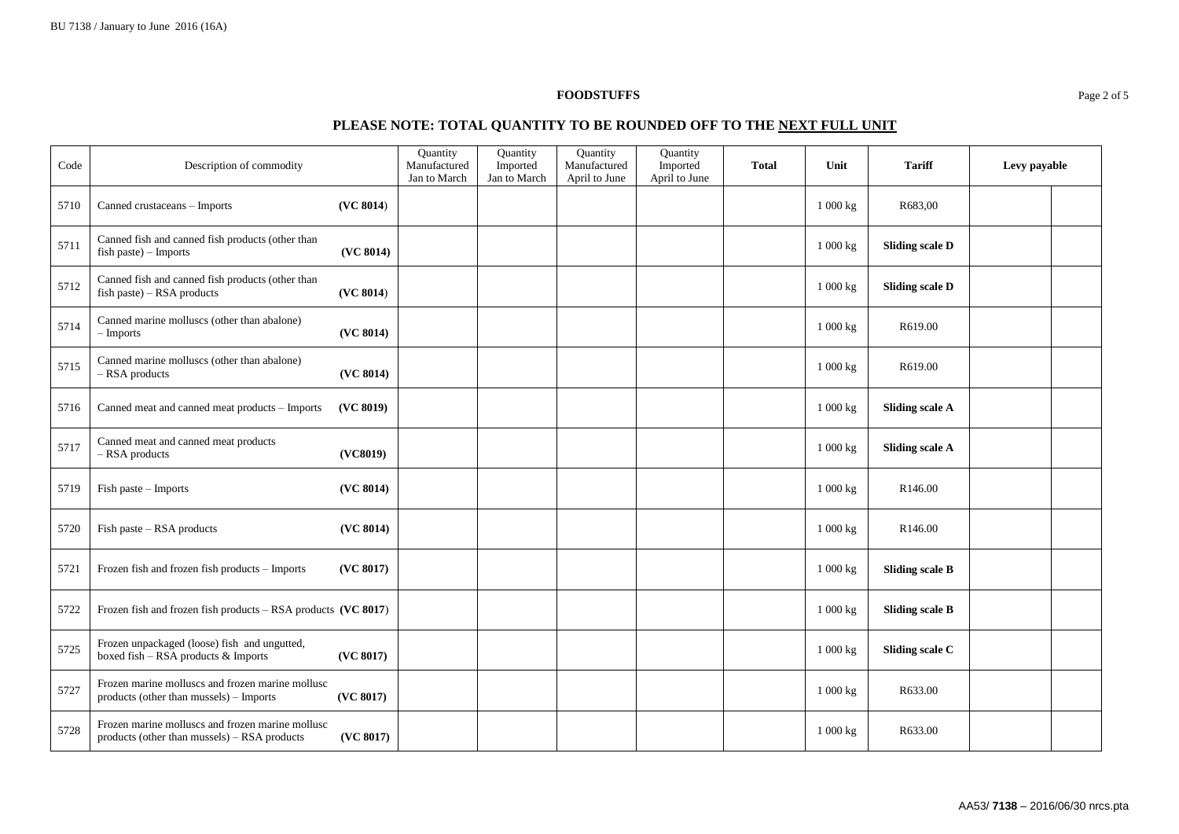### **FOODSTUFFS** Page 2 of 5

# **PLEASE NOTE: TOTAL QUANTITY TO BE ROUNDED OFF TO THE NEXT FULL UNIT**

| Code | Description of commodity                                                                         |           | Quantity<br>Manufactured<br>Jan to March | Quantity<br>Imported<br>Jan to March | Quantity<br>Manufactured<br>April to June | Quantity<br>Imported<br>April to June | <b>Total</b> | Unit     | <b>Tariff</b>          | Levy payable |  |
|------|--------------------------------------------------------------------------------------------------|-----------|------------------------------------------|--------------------------------------|-------------------------------------------|---------------------------------------|--------------|----------|------------------------|--------------|--|
| 5710 | Canned crustaceans - Imports                                                                     | (VC 8014) |                                          |                                      |                                           |                                       |              | 1 000 kg | R683,00                |              |  |
| 5711 | Canned fish and canned fish products (other than<br>fish paste) - Imports                        | (VC 8014) |                                          |                                      |                                           |                                       |              | 1000 kg  | <b>Sliding scale D</b> |              |  |
| 5712 | Canned fish and canned fish products (other than<br>fish paste) - RSA products                   | (VC 8014) |                                          |                                      |                                           |                                       |              | 1 000 kg | <b>Sliding scale D</b> |              |  |
| 5714 | Canned marine molluscs (other than abalone)<br>$-$ Imports                                       | (VC 8014) |                                          |                                      |                                           |                                       |              | 1000 kg  | R619.00                |              |  |
| 5715 | Canned marine molluscs (other than abalone)<br>$-$ RSA products                                  | (VC 8014) |                                          |                                      |                                           |                                       |              | 1 000 kg | R619.00                |              |  |
| 5716 | Canned meat and canned meat products - Imports                                                   | (VC 8019) |                                          |                                      |                                           |                                       |              | 1000 kg  | <b>Sliding scale A</b> |              |  |
| 5717 | Canned meat and canned meat products<br>- RSA products                                           | (VC8019)  |                                          |                                      |                                           |                                       |              | 1 000 kg | <b>Sliding scale A</b> |              |  |
| 5719 | Fish paste - Imports                                                                             | (VC 8014) |                                          |                                      |                                           |                                       |              | 1 000 kg | R146.00                |              |  |
| 5720 | Fish paste - RSA products                                                                        | (VC 8014) |                                          |                                      |                                           |                                       |              | 1 000 kg | R <sub>146.00</sub>    |              |  |
| 5721 | Frozen fish and frozen fish products - Imports                                                   | (VC 8017) |                                          |                                      |                                           |                                       |              | 1 000 kg | <b>Sliding scale B</b> |              |  |
| 5722 | Frozen fish and frozen fish products - RSA products (VC 8017)                                    |           |                                          |                                      |                                           |                                       |              | 1 000 kg | <b>Sliding scale B</b> |              |  |
| 5725 | Frozen unpackaged (loose) fish and ungutted,<br>boxed fish - RSA products & Imports              | (VC 8017) |                                          |                                      |                                           |                                       |              | 1000 kg  | Sliding scale C        |              |  |
| 5727 | Frozen marine molluscs and frozen marine mollusc<br>products (other than mussels) - Imports      | (VC 8017) |                                          |                                      |                                           |                                       |              | 1 000 kg | R633.00                |              |  |
| 5728 | Frozen marine molluscs and frozen marine mollusc<br>products (other than mussels) - RSA products | (VC 8017) |                                          |                                      |                                           |                                       |              | 1 000 kg | R633.00                |              |  |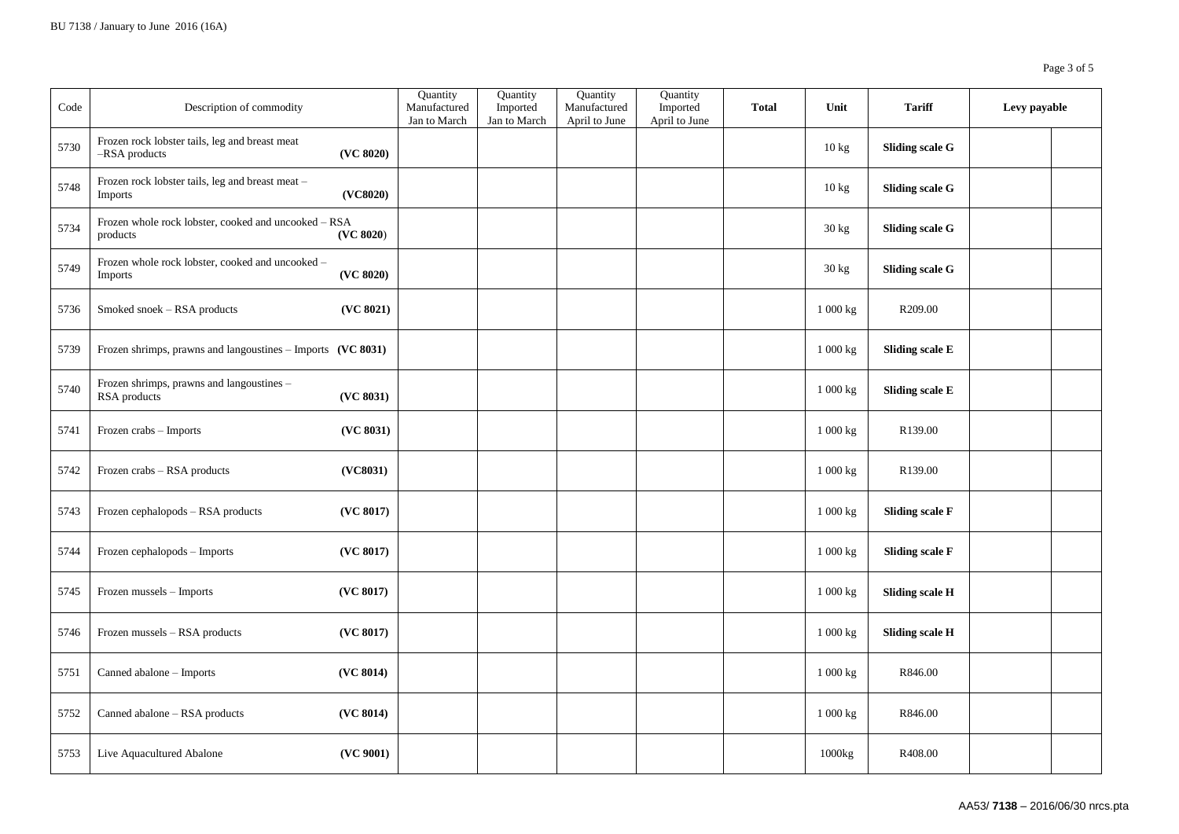| Code | Description of commodity                                         |           | Quantity<br>Manufactured<br>Jan to March | Quantity<br>Imported<br>Jan to March | Quantity<br>Manufactured<br>April to June | Quantity<br>Imported<br>April to June | <b>Total</b> | Unit                | <b>Tariff</b>          | Levy payable |  |
|------|------------------------------------------------------------------|-----------|------------------------------------------|--------------------------------------|-------------------------------------------|---------------------------------------|--------------|---------------------|------------------------|--------------|--|
| 5730 | Frozen rock lobster tails, leg and breast meat<br>-RSA products  | (VC 8020) |                                          |                                      |                                           |                                       |              | 10 kg               | <b>Sliding scale G</b> |              |  |
| 5748 | Frozen rock lobster tails, leg and breast meat -<br>Imports      | (VC8020)  |                                          |                                      |                                           |                                       |              | 10 kg               | <b>Sliding scale G</b> |              |  |
| 5734 | Frozen whole rock lobster, cooked and uncooked - RSA<br>products | (VC 8020) |                                          |                                      |                                           |                                       |              | 30 kg               | <b>Sliding scale G</b> |              |  |
| 5749 | Frozen whole rock lobster, cooked and uncooked -<br>Imports      | (VC 8020) |                                          |                                      |                                           |                                       |              | $30 \text{ kg}$     | <b>Sliding scale G</b> |              |  |
| 5736 | Smoked snoek - RSA products                                      | (VC 8021) |                                          |                                      |                                           |                                       |              | 1 000 kg            | R209.00                |              |  |
| 5739 | Frozen shrimps, prawns and langoustines - Imports (VC 8031)      |           |                                          |                                      |                                           |                                       |              | 1 000 kg            | <b>Sliding scale E</b> |              |  |
| 5740 | Frozen shrimps, prawns and langoustines -<br>RSA products        | (VC 8031) |                                          |                                      |                                           |                                       |              | 1 000 kg            | Sliding scale E        |              |  |
| 5741 | Frozen crabs - Imports                                           | (VC 8031) |                                          |                                      |                                           |                                       |              | 1 000 kg            | R139.00                |              |  |
| 5742 | Frozen crabs - RSA products                                      | (VC8031)  |                                          |                                      |                                           |                                       |              | 1 000 kg            | R139.00                |              |  |
| 5743 | Frozen cephalopods - RSA products                                | (VC 8017) |                                          |                                      |                                           |                                       |              | 1 000 kg            | <b>Sliding scale F</b> |              |  |
| 5744 | Frozen cephalopods - Imports                                     | (VC 8017) |                                          |                                      |                                           |                                       |              | $1\ 000$ kg         | <b>Sliding scale F</b> |              |  |
| 5745 | Frozen mussels - Imports                                         | (VC 8017) |                                          |                                      |                                           |                                       |              | $1000\,\mathrm{kg}$ | <b>Sliding scale H</b> |              |  |
| 5746 | Frozen mussels - RSA products                                    | (VC 8017) |                                          |                                      |                                           |                                       |              | 1 000 kg            | <b>Sliding scale H</b> |              |  |
| 5751 | Canned abalone - Imports                                         | (VC 8014) |                                          |                                      |                                           |                                       |              | 1 000 kg            | R846.00                |              |  |
| 5752 | Canned abalone - RSA products                                    | (VC 8014) |                                          |                                      |                                           |                                       |              | 1 000 kg            | R846.00                |              |  |
| 5753 | Live Aquacultured Abalone                                        | (VC 9001) |                                          |                                      |                                           |                                       |              | 1000kg              | R408.00                |              |  |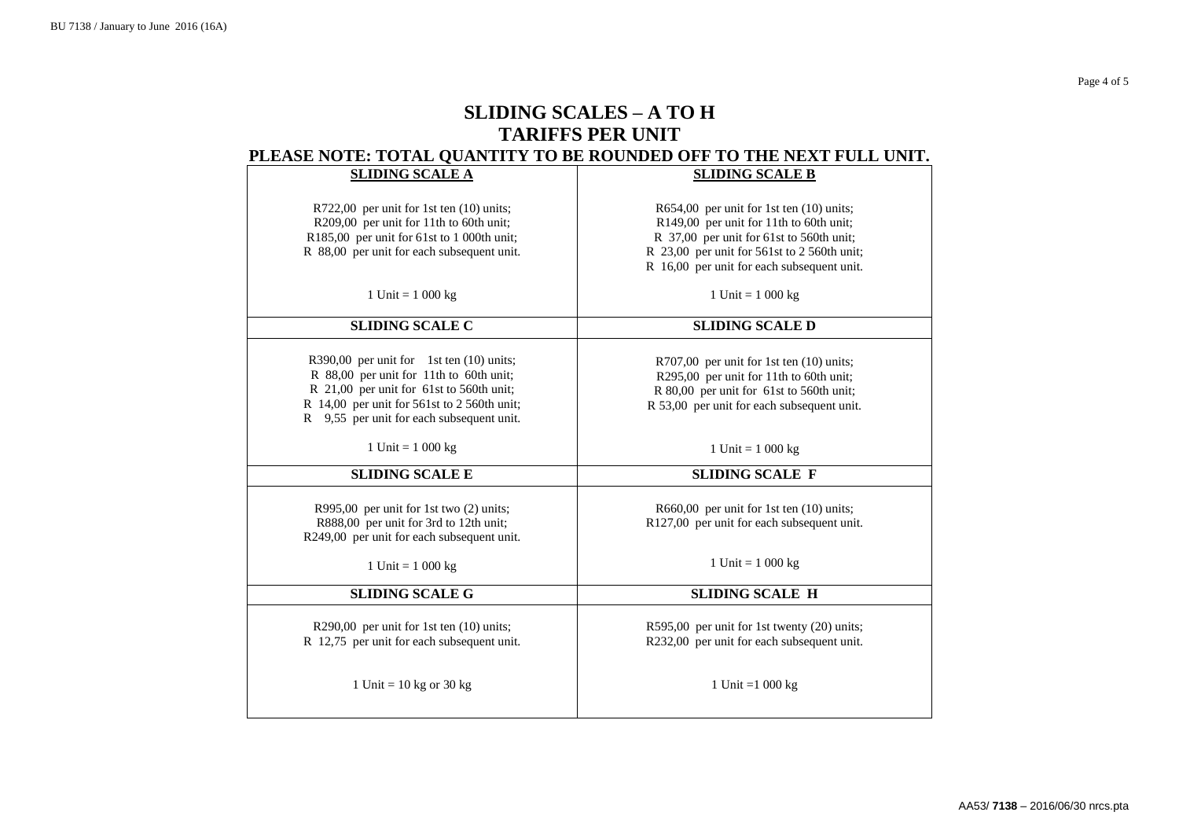Page 4 of 5

# **SLIDING SCALES – A TO H TARIFFS PER UNIT PLEASE NOTE: TOTAL QUANTITY TO BE ROUNDED OFF TO THE NEXT FULL UNIT.**

| E ROLL TO THE QUARTER TO BE ROUTBED OIT TO THE REAL FOLL ORD.                         |                                               |  |  |  |  |  |
|---------------------------------------------------------------------------------------|-----------------------------------------------|--|--|--|--|--|
| <b>SLIDING SCALE A</b>                                                                | <b>SLIDING SCALE B</b>                        |  |  |  |  |  |
|                                                                                       |                                               |  |  |  |  |  |
| R722,00 per unit for 1st ten (10) units;                                              | R654,00 per unit for 1st ten $(10)$ units;    |  |  |  |  |  |
| R209,00 per unit for 11th to 60th unit;                                               | R149,00 per unit for 11th to 60th unit;       |  |  |  |  |  |
| R185,00 per unit for 61st to 1 000th unit;                                            | R 37,00 per unit for 61st to 560th unit;      |  |  |  |  |  |
| R 88,00 per unit for each subsequent unit.                                            | R 23,00 per unit for 561st to 2 560th unit;   |  |  |  |  |  |
|                                                                                       | R 16,00 per unit for each subsequent unit.    |  |  |  |  |  |
|                                                                                       |                                               |  |  |  |  |  |
| 1 Unit = $1000 \text{ kg}$                                                            | 1 Unit = $1\ 000 \text{ kg}$                  |  |  |  |  |  |
|                                                                                       |                                               |  |  |  |  |  |
| <b>SLIDING SCALE C</b>                                                                | <b>SLIDING SCALE D</b>                        |  |  |  |  |  |
|                                                                                       |                                               |  |  |  |  |  |
|                                                                                       |                                               |  |  |  |  |  |
| R390,00 per unit for 1st ten $(10)$ units;<br>R 88,00 per unit for 11th to 60th unit; | $R707,00$ per unit for 1st ten $(10)$ units;  |  |  |  |  |  |
|                                                                                       | R295,00 per unit for 11th to 60th unit;       |  |  |  |  |  |
| R 21,00 per unit for 61st to 560th unit;                                              | R 80,00 per unit for 61st to 560th unit;      |  |  |  |  |  |
| R 14,00 per unit for 561st to 2 560th unit;                                           | R 53,00 per unit for each subsequent unit.    |  |  |  |  |  |
| R 9,55 per unit for each subsequent unit.                                             |                                               |  |  |  |  |  |
|                                                                                       |                                               |  |  |  |  |  |
| 1 Unit = $1000 kg$                                                                    | 1 Unit = $1000 kg$                            |  |  |  |  |  |
| <b>SLIDING SCALE E</b>                                                                | <b>SLIDING SCALE F</b>                        |  |  |  |  |  |
|                                                                                       |                                               |  |  |  |  |  |
| R995,00 per unit for 1st two $(2)$ units;                                             | $R660,00$ per unit for 1st ten $(10)$ units;  |  |  |  |  |  |
| R888,00 per unit for 3rd to 12th unit;                                                | R127,00 per unit for each subsequent unit.    |  |  |  |  |  |
| R249,00 per unit for each subsequent unit.                                            |                                               |  |  |  |  |  |
|                                                                                       |                                               |  |  |  |  |  |
| 1 Unit = $1000 \text{ kg}$                                                            | 1 Unit = $1000 kg$                            |  |  |  |  |  |
|                                                                                       |                                               |  |  |  |  |  |
| <b>SLIDING SCALE G</b>                                                                | <b>SLIDING SCALE H</b>                        |  |  |  |  |  |
|                                                                                       |                                               |  |  |  |  |  |
| R290,00 per unit for 1st ten (10) units;                                              | $R595,00$ per unit for 1st twenty (20) units; |  |  |  |  |  |
| R 12,75 per unit for each subsequent unit.                                            | R232,00 per unit for each subsequent unit.    |  |  |  |  |  |
|                                                                                       |                                               |  |  |  |  |  |
|                                                                                       |                                               |  |  |  |  |  |
| 1 Unit = $10$ kg or $30$ kg                                                           | 1 Unit = $1000 \text{ kg}$                    |  |  |  |  |  |
|                                                                                       |                                               |  |  |  |  |  |
|                                                                                       |                                               |  |  |  |  |  |